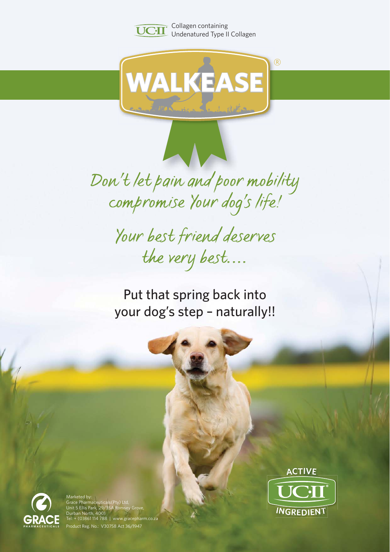

UCI Collagen containing Undenatured Type II Collagen



*Don't let pain and poor mobility compromise Your dog's life!*

> *Your best friend deserves the very best....*

Put that spring back into your dog's step – naturally!!







Marketed by: Grace Pharmaceuticals(Pty) Ltd, Unit 5 Ellis Park, 29/35A Romsey Grove, In North,  $\overline{4001}$ : + (0)861 114 788 | www.gracepharm.co.za Product Reg. No.: V30758 Act 36/1947